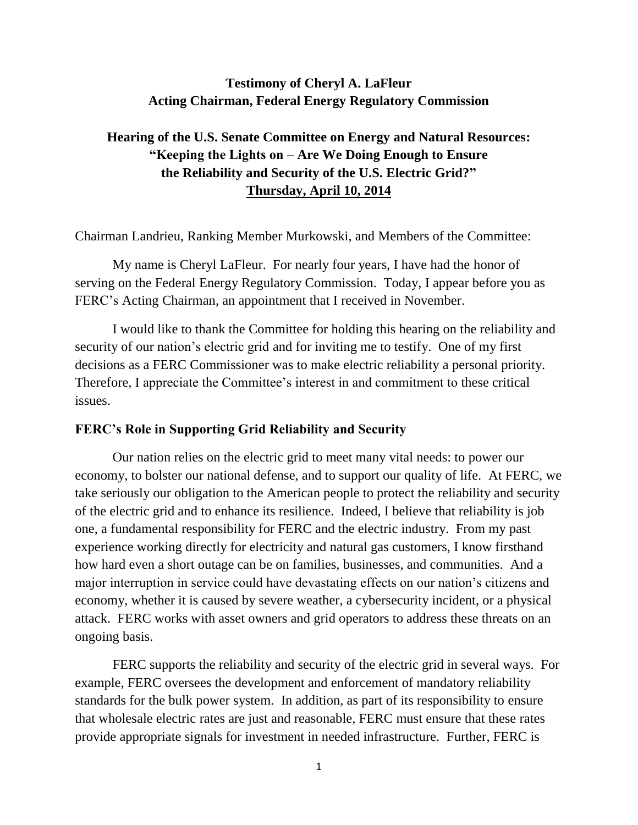## **Testimony of Cheryl A. LaFleur Acting Chairman, Federal Energy Regulatory Commission**

# **Hearing of the U.S. Senate Committee on Energy and Natural Resources: "Keeping the Lights on – Are We Doing Enough to Ensure the Reliability and Security of the U.S. Electric Grid?" Thursday, April 10, 2014**

Chairman Landrieu, Ranking Member Murkowski, and Members of the Committee:

My name is Cheryl LaFleur. For nearly four years, I have had the honor of serving on the Federal Energy Regulatory Commission. Today, I appear before you as FERC's Acting Chairman, an appointment that I received in November.

I would like to thank the Committee for holding this hearing on the reliability and security of our nation's electric grid and for inviting me to testify. One of my first decisions as a FERC Commissioner was to make electric reliability a personal priority. Therefore, I appreciate the Committee's interest in and commitment to these critical issues.

#### **FERC's Role in Supporting Grid Reliability and Security**

Our nation relies on the electric grid to meet many vital needs: to power our economy, to bolster our national defense, and to support our quality of life. At FERC, we take seriously our obligation to the American people to protect the reliability and security of the electric grid and to enhance its resilience. Indeed, I believe that reliability is job one, a fundamental responsibility for FERC and the electric industry. From my past experience working directly for electricity and natural gas customers, I know firsthand how hard even a short outage can be on families, businesses, and communities. And a major interruption in service could have devastating effects on our nation's citizens and economy, whether it is caused by severe weather, a cybersecurity incident, or a physical attack. FERC works with asset owners and grid operators to address these threats on an ongoing basis.

FERC supports the reliability and security of the electric grid in several ways. For example, FERC oversees the development and enforcement of mandatory reliability standards for the bulk power system. In addition, as part of its responsibility to ensure that wholesale electric rates are just and reasonable, FERC must ensure that these rates provide appropriate signals for investment in needed infrastructure. Further, FERC is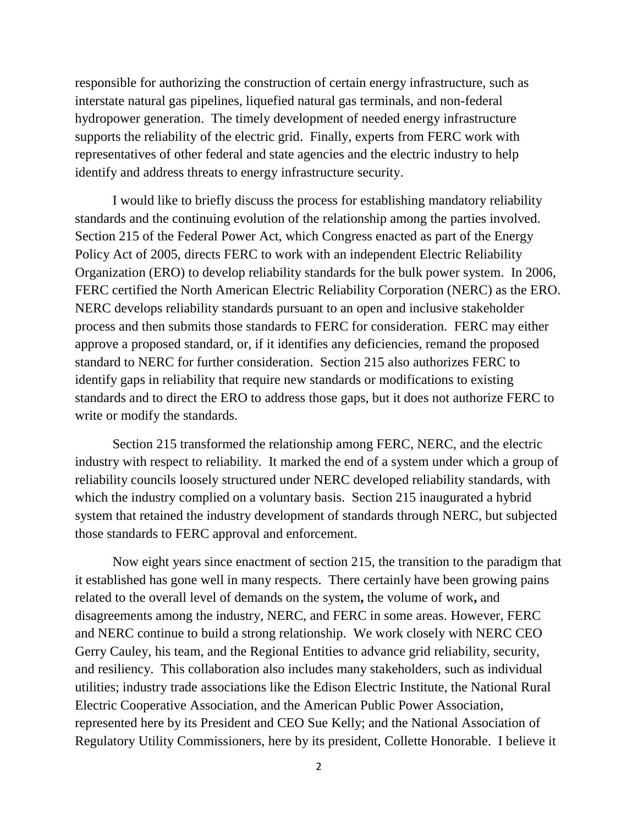responsible for authorizing the construction of certain energy infrastructure, such as interstate natural gas pipelines, liquefied natural gas terminals, and non-federal hydropower generation. The timely development of needed energy infrastructure supports the reliability of the electric grid. Finally, experts from FERC work with representatives of other federal and state agencies and the electric industry to help identify and address threats to energy infrastructure security.

I would like to briefly discuss the process for establishing mandatory reliability standards and the continuing evolution of the relationship among the parties involved. Section 215 of the Federal Power Act, which Congress enacted as part of the Energy Policy Act of 2005, directs FERC to work with an independent Electric Reliability Organization (ERO) to develop reliability standards for the bulk power system. In 2006, FERC certified the North American Electric Reliability Corporation (NERC) as the ERO. NERC develops reliability standards pursuant to an open and inclusive stakeholder process and then submits those standards to FERC for consideration. FERC may either approve a proposed standard, or, if it identifies any deficiencies, remand the proposed standard to NERC for further consideration. Section 215 also authorizes FERC to identify gaps in reliability that require new standards or modifications to existing standards and to direct the ERO to address those gaps, but it does not authorize FERC to write or modify the standards.

Section 215 transformed the relationship among FERC, NERC, and the electric industry with respect to reliability. It marked the end of a system under which a group of reliability councils loosely structured under NERC developed reliability standards, with which the industry complied on a voluntary basis. Section 215 inaugurated a hybrid system that retained the industry development of standards through NERC, but subjected those standards to FERC approval and enforcement.

Now eight years since enactment of section 215, the transition to the paradigm that it established has gone well in many respects. There certainly have been growing pains related to the overall level of demands on the system**,** the volume of work**,** and disagreements among the industry, NERC, and FERC in some areas. However, FERC and NERC continue to build a strong relationship. We work closely with NERC CEO Gerry Cauley, his team, and the Regional Entities to advance grid reliability, security, and resiliency. This collaboration also includes many stakeholders, such as individual utilities; industry trade associations like the Edison Electric Institute, the National Rural Electric Cooperative Association, and the American Public Power Association, represented here by its President and CEO Sue Kelly; and the National Association of Regulatory Utility Commissioners, here by its president, Collette Honorable. I believe it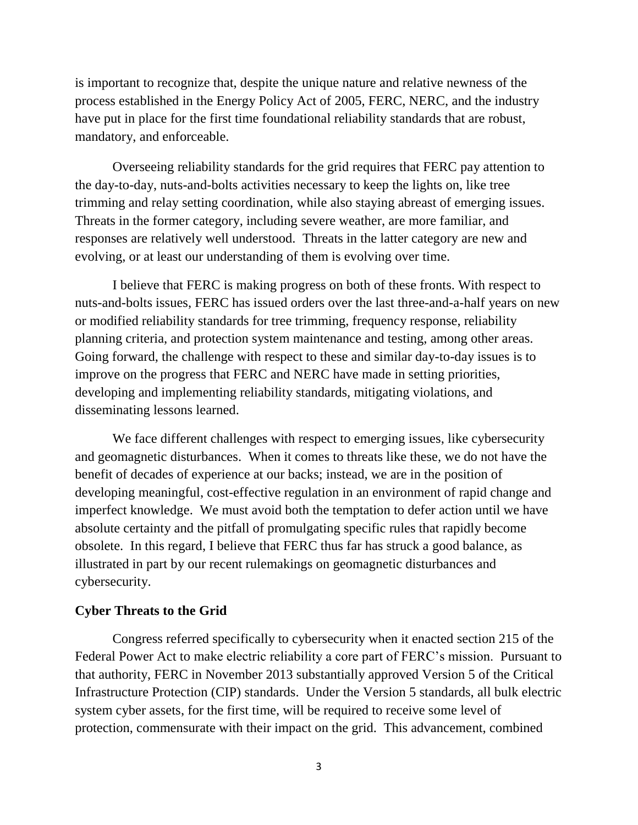is important to recognize that, despite the unique nature and relative newness of the process established in the Energy Policy Act of 2005, FERC, NERC, and the industry have put in place for the first time foundational reliability standards that are robust, mandatory, and enforceable.

Overseeing reliability standards for the grid requires that FERC pay attention to the day-to-day, nuts-and-bolts activities necessary to keep the lights on, like tree trimming and relay setting coordination, while also staying abreast of emerging issues. Threats in the former category, including severe weather, are more familiar, and responses are relatively well understood. Threats in the latter category are new and evolving, or at least our understanding of them is evolving over time.

I believe that FERC is making progress on both of these fronts. With respect to nuts-and-bolts issues, FERC has issued orders over the last three-and-a-half years on new or modified reliability standards for tree trimming, frequency response, reliability planning criteria, and protection system maintenance and testing, among other areas. Going forward, the challenge with respect to these and similar day-to-day issues is to improve on the progress that FERC and NERC have made in setting priorities, developing and implementing reliability standards, mitigating violations, and disseminating lessons learned.

We face different challenges with respect to emerging issues, like cybersecurity and geomagnetic disturbances. When it comes to threats like these, we do not have the benefit of decades of experience at our backs; instead, we are in the position of developing meaningful, cost-effective regulation in an environment of rapid change and imperfect knowledge. We must avoid both the temptation to defer action until we have absolute certainty and the pitfall of promulgating specific rules that rapidly become obsolete. In this regard, I believe that FERC thus far has struck a good balance, as illustrated in part by our recent rulemakings on geomagnetic disturbances and cybersecurity.

#### **Cyber Threats to the Grid**

Congress referred specifically to cybersecurity when it enacted section 215 of the Federal Power Act to make electric reliability a core part of FERC's mission. Pursuant to that authority, FERC in November 2013 substantially approved Version 5 of the Critical Infrastructure Protection (CIP) standards. Under the Version 5 standards, all bulk electric system cyber assets, for the first time, will be required to receive some level of protection, commensurate with their impact on the grid. This advancement, combined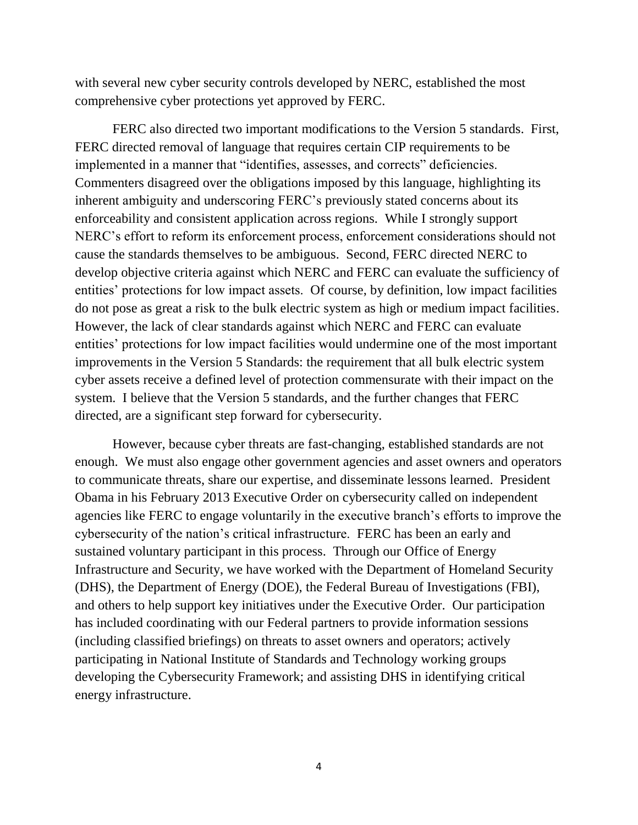with several new cyber security controls developed by NERC, established the most comprehensive cyber protections yet approved by FERC.

FERC also directed two important modifications to the Version 5 standards. First, FERC directed removal of language that requires certain CIP requirements to be implemented in a manner that "identifies, assesses, and corrects" deficiencies. Commenters disagreed over the obligations imposed by this language, highlighting its inherent ambiguity and underscoring FERC's previously stated concerns about its enforceability and consistent application across regions. While I strongly support NERC's effort to reform its enforcement process, enforcement considerations should not cause the standards themselves to be ambiguous. Second, FERC directed NERC to develop objective criteria against which NERC and FERC can evaluate the sufficiency of entities' protections for low impact assets. Of course, by definition, low impact facilities do not pose as great a risk to the bulk electric system as high or medium impact facilities. However, the lack of clear standards against which NERC and FERC can evaluate entities' protections for low impact facilities would undermine one of the most important improvements in the Version 5 Standards: the requirement that all bulk electric system cyber assets receive a defined level of protection commensurate with their impact on the system. I believe that the Version 5 standards, and the further changes that FERC directed, are a significant step forward for cybersecurity.

However, because cyber threats are fast-changing, established standards are not enough. We must also engage other government agencies and asset owners and operators to communicate threats, share our expertise, and disseminate lessons learned. President Obama in his February 2013 Executive Order on cybersecurity called on independent agencies like FERC to engage voluntarily in the executive branch's efforts to improve the cybersecurity of the nation's critical infrastructure. FERC has been an early and sustained voluntary participant in this process. Through our Office of Energy Infrastructure and Security, we have worked with the Department of Homeland Security (DHS), the Department of Energy (DOE), the Federal Bureau of Investigations (FBI), and others to help support key initiatives under the Executive Order. Our participation has included coordinating with our Federal partners to provide information sessions (including classified briefings) on threats to asset owners and operators; actively participating in National Institute of Standards and Technology working groups developing the Cybersecurity Framework; and assisting DHS in identifying critical energy infrastructure.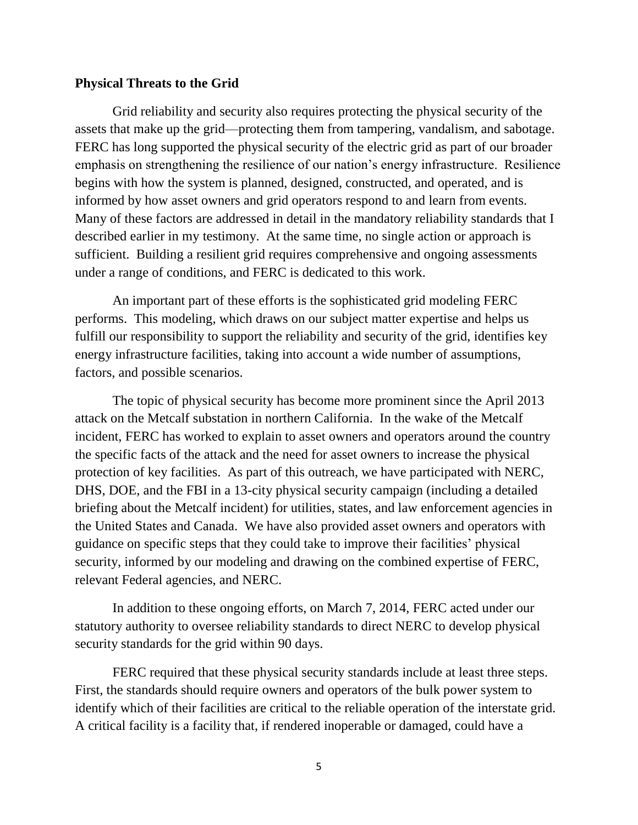#### **Physical Threats to the Grid**

Grid reliability and security also requires protecting the physical security of the assets that make up the grid—protecting them from tampering, vandalism, and sabotage. FERC has long supported the physical security of the electric grid as part of our broader emphasis on strengthening the resilience of our nation's energy infrastructure. Resilience begins with how the system is planned, designed, constructed, and operated, and is informed by how asset owners and grid operators respond to and learn from events. Many of these factors are addressed in detail in the mandatory reliability standards that I described earlier in my testimony. At the same time, no single action or approach is sufficient. Building a resilient grid requires comprehensive and ongoing assessments under a range of conditions, and FERC is dedicated to this work.

An important part of these efforts is the sophisticated grid modeling FERC performs. This modeling, which draws on our subject matter expertise and helps us fulfill our responsibility to support the reliability and security of the grid, identifies key energy infrastructure facilities, taking into account a wide number of assumptions, factors, and possible scenarios.

The topic of physical security has become more prominent since the April 2013 attack on the Metcalf substation in northern California. In the wake of the Metcalf incident, FERC has worked to explain to asset owners and operators around the country the specific facts of the attack and the need for asset owners to increase the physical protection of key facilities. As part of this outreach, we have participated with NERC, DHS, DOE, and the FBI in a 13-city physical security campaign (including a detailed briefing about the Metcalf incident) for utilities, states, and law enforcement agencies in the United States and Canada. We have also provided asset owners and operators with guidance on specific steps that they could take to improve their facilities' physical security, informed by our modeling and drawing on the combined expertise of FERC, relevant Federal agencies, and NERC.

In addition to these ongoing efforts, on March 7, 2014, FERC acted under our statutory authority to oversee reliability standards to direct NERC to develop physical security standards for the grid within 90 days.

FERC required that these physical security standards include at least three steps. First, the standards should require owners and operators of the bulk power system to identify which of their facilities are critical to the reliable operation of the interstate grid. A critical facility is a facility that, if rendered inoperable or damaged, could have a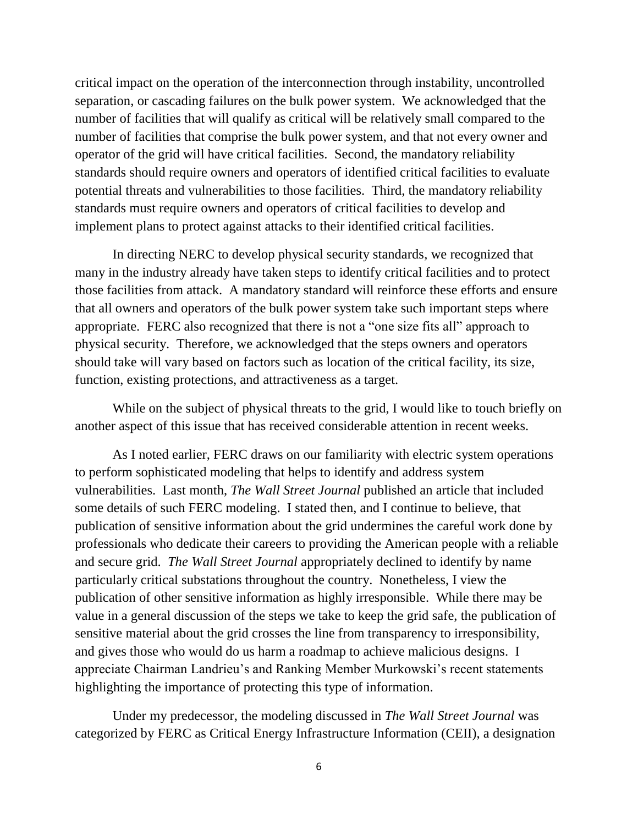critical impact on the operation of the interconnection through instability, uncontrolled separation, or cascading failures on the bulk power system. We acknowledged that the number of facilities that will qualify as critical will be relatively small compared to the number of facilities that comprise the bulk power system, and that not every owner and operator of the grid will have critical facilities. Second, the mandatory reliability standards should require owners and operators of identified critical facilities to evaluate potential threats and vulnerabilities to those facilities. Third, the mandatory reliability standards must require owners and operators of critical facilities to develop and implement plans to protect against attacks to their identified critical facilities.

In directing NERC to develop physical security standards, we recognized that many in the industry already have taken steps to identify critical facilities and to protect those facilities from attack. A mandatory standard will reinforce these efforts and ensure that all owners and operators of the bulk power system take such important steps where appropriate. FERC also recognized that there is not a "one size fits all" approach to physical security. Therefore, we acknowledged that the steps owners and operators should take will vary based on factors such as location of the critical facility, its size, function, existing protections, and attractiveness as a target.

While on the subject of physical threats to the grid, I would like to touch briefly on another aspect of this issue that has received considerable attention in recent weeks.

As I noted earlier, FERC draws on our familiarity with electric system operations to perform sophisticated modeling that helps to identify and address system vulnerabilities. Last month, *The Wall Street Journal* published an article that included some details of such FERC modeling. I stated then, and I continue to believe, that publication of sensitive information about the grid undermines the careful work done by professionals who dedicate their careers to providing the American people with a reliable and secure grid. *The Wall Street Journal* appropriately declined to identify by name particularly critical substations throughout the country. Nonetheless, I view the publication of other sensitive information as highly irresponsible. While there may be value in a general discussion of the steps we take to keep the grid safe, the publication of sensitive material about the grid crosses the line from transparency to irresponsibility, and gives those who would do us harm a roadmap to achieve malicious designs. I appreciate Chairman Landrieu's and Ranking Member Murkowski's recent statements highlighting the importance of protecting this type of information.

Under my predecessor, the modeling discussed in *The Wall Street Journal* was categorized by FERC as Critical Energy Infrastructure Information (CEII), a designation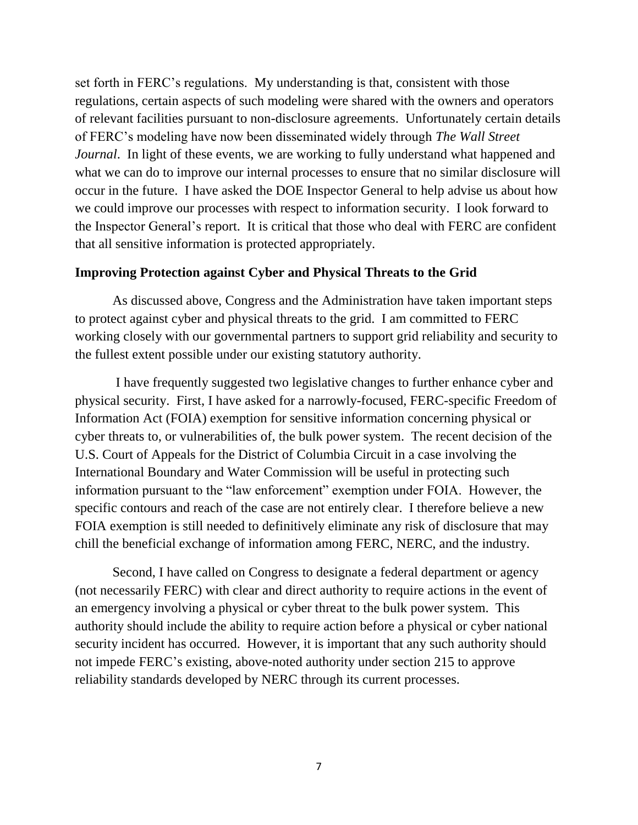set forth in FERC's regulations. My understanding is that, consistent with those regulations, certain aspects of such modeling were shared with the owners and operators of relevant facilities pursuant to non-disclosure agreements. Unfortunately certain details of FERC's modeling have now been disseminated widely through *The Wall Street Journal*. In light of these events, we are working to fully understand what happened and what we can do to improve our internal processes to ensure that no similar disclosure will occur in the future. I have asked the DOE Inspector General to help advise us about how we could improve our processes with respect to information security. I look forward to the Inspector General's report. It is critical that those who deal with FERC are confident that all sensitive information is protected appropriately.

#### **Improving Protection against Cyber and Physical Threats to the Grid**

As discussed above, Congress and the Administration have taken important steps to protect against cyber and physical threats to the grid. I am committed to FERC working closely with our governmental partners to support grid reliability and security to the fullest extent possible under our existing statutory authority.

I have frequently suggested two legislative changes to further enhance cyber and physical security. First, I have asked for a narrowly-focused, FERC-specific Freedom of Information Act (FOIA) exemption for sensitive information concerning physical or cyber threats to, or vulnerabilities of, the bulk power system. The recent decision of the U.S. Court of Appeals for the District of Columbia Circuit in a case involving the International Boundary and Water Commission will be useful in protecting such information pursuant to the "law enforcement" exemption under FOIA. However, the specific contours and reach of the case are not entirely clear. I therefore believe a new FOIA exemption is still needed to definitively eliminate any risk of disclosure that may chill the beneficial exchange of information among FERC, NERC, and the industry.

Second, I have called on Congress to designate a federal department or agency (not necessarily FERC) with clear and direct authority to require actions in the event of an emergency involving a physical or cyber threat to the bulk power system. This authority should include the ability to require action before a physical or cyber national security incident has occurred. However, it is important that any such authority should not impede FERC's existing, above-noted authority under section 215 to approve reliability standards developed by NERC through its current processes.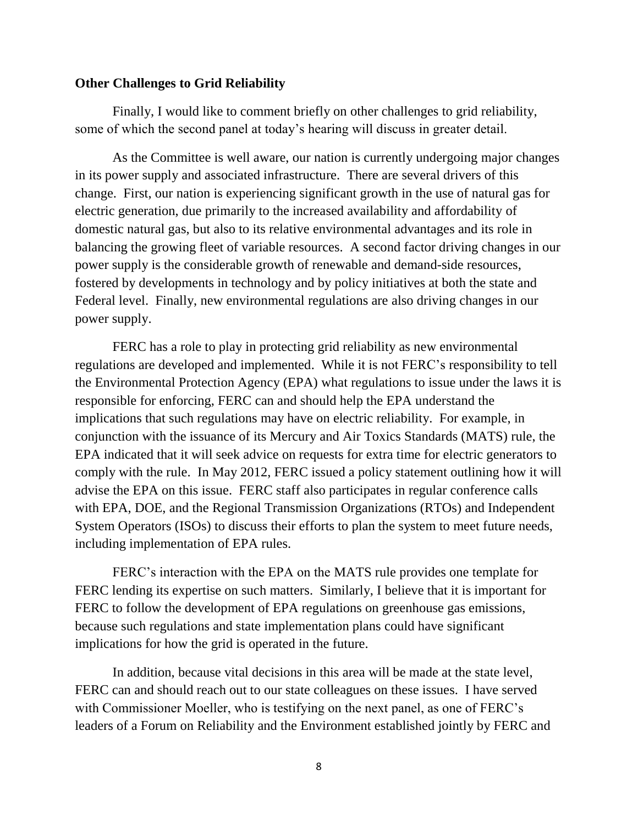#### **Other Challenges to Grid Reliability**

Finally, I would like to comment briefly on other challenges to grid reliability, some of which the second panel at today's hearing will discuss in greater detail.

As the Committee is well aware, our nation is currently undergoing major changes in its power supply and associated infrastructure. There are several drivers of this change. First, our nation is experiencing significant growth in the use of natural gas for electric generation, due primarily to the increased availability and affordability of domestic natural gas, but also to its relative environmental advantages and its role in balancing the growing fleet of variable resources. A second factor driving changes in our power supply is the considerable growth of renewable and demand-side resources, fostered by developments in technology and by policy initiatives at both the state and Federal level. Finally, new environmental regulations are also driving changes in our power supply.

FERC has a role to play in protecting grid reliability as new environmental regulations are developed and implemented. While it is not FERC's responsibility to tell the Environmental Protection Agency (EPA) what regulations to issue under the laws it is responsible for enforcing, FERC can and should help the EPA understand the implications that such regulations may have on electric reliability. For example, in conjunction with the issuance of its Mercury and Air Toxics Standards (MATS) rule, the EPA indicated that it will seek advice on requests for extra time for electric generators to comply with the rule. In May 2012, FERC issued a policy statement outlining how it will advise the EPA on this issue. FERC staff also participates in regular conference calls with EPA, DOE, and the Regional Transmission Organizations (RTOs) and Independent System Operators (ISOs) to discuss their efforts to plan the system to meet future needs, including implementation of EPA rules.

FERC's interaction with the EPA on the MATS rule provides one template for FERC lending its expertise on such matters. Similarly, I believe that it is important for FERC to follow the development of EPA regulations on greenhouse gas emissions, because such regulations and state implementation plans could have significant implications for how the grid is operated in the future.

In addition, because vital decisions in this area will be made at the state level, FERC can and should reach out to our state colleagues on these issues. I have served with Commissioner Moeller, who is testifying on the next panel, as one of FERC's leaders of a Forum on Reliability and the Environment established jointly by FERC and